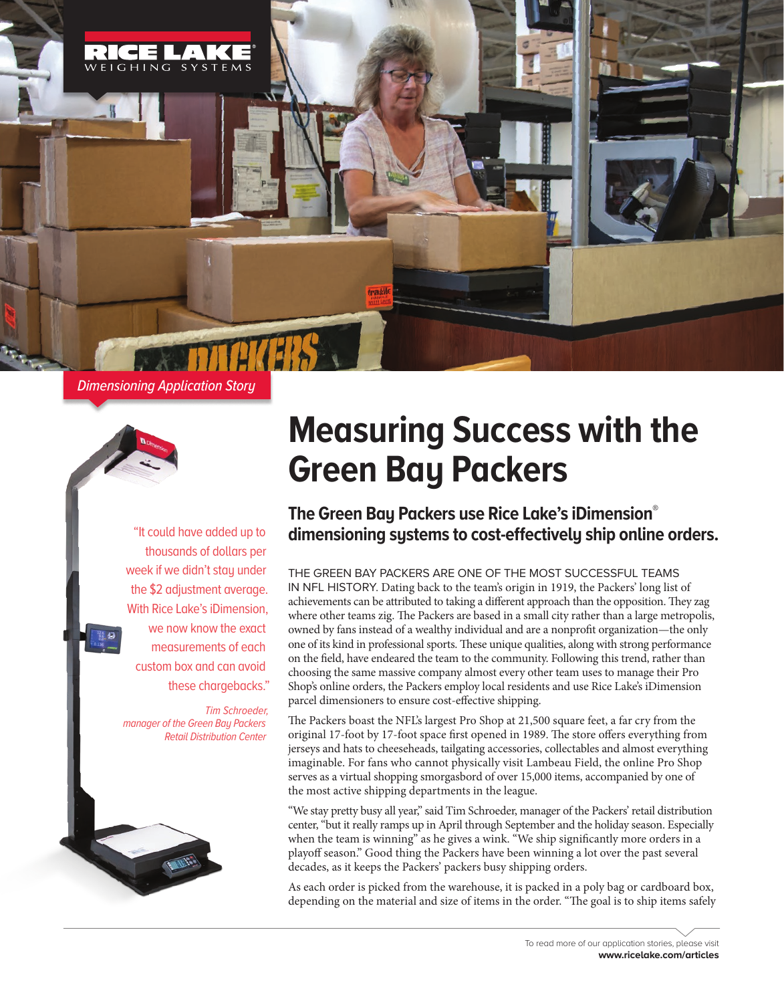

*Dimensioning Application Story*



*Tim Schroeder, manager of the Green Bay Packers Retail Distribution Center*

## **Measuring Success with the Green Bay Packers**

## **The Green Bay Packers use Rice Lake's iDimension® dimensioning systems to cost-effectively ship online orders.** "It could have added up to

THE GREEN BAY PACKERS ARE ONE OF THE MOST SUCCESSFUL TEAMS IN NFL HISTORY. Dating back to the team's origin in 1919, the Packers' long list of achievements can be attributed to taking a different approach than the opposition. They zag where other teams zig. The Packers are based in a small city rather than a large metropolis, owned by fans instead of a wealthy individual and are a nonprofit organization—the only one of its kind in professional sports. These unique qualities, along with strong performance on the field, have endeared the team to the community. Following this trend, rather than choosing the same massive company almost every other team uses to manage their Pro Shop's online orders, the Packers employ local residents and use Rice Lake's iDimension parcel dimensioners to ensure cost-effective shipping.

The Packers boast the NFL's largest Pro Shop at 21,500 square feet, a far cry from the original 17-foot by 17-foot space first opened in 1989. The store offers everything from jerseys and hats to cheeseheads, tailgating accessories, collectables and almost everything imaginable. For fans who cannot physically visit Lambeau Field, the online Pro Shop serves as a virtual shopping smorgasbord of over 15,000 items, accompanied by one of the most active shipping departments in the league.

"We stay pretty busy all year," said Tim Schroeder, manager of the Packers' retail distribution center, "but it really ramps up in April through September and the holiday season. Especially when the team is winning" as he gives a wink. "We ship significantly more orders in a playoff season." Good thing the Packers have been winning a lot over the past several decades, as it keeps the Packers' packers busy shipping orders.

As each order is picked from the warehouse, it is packed in a poly bag or cardboard box, depending on the material and size of items in the order. "The goal is to ship items safely